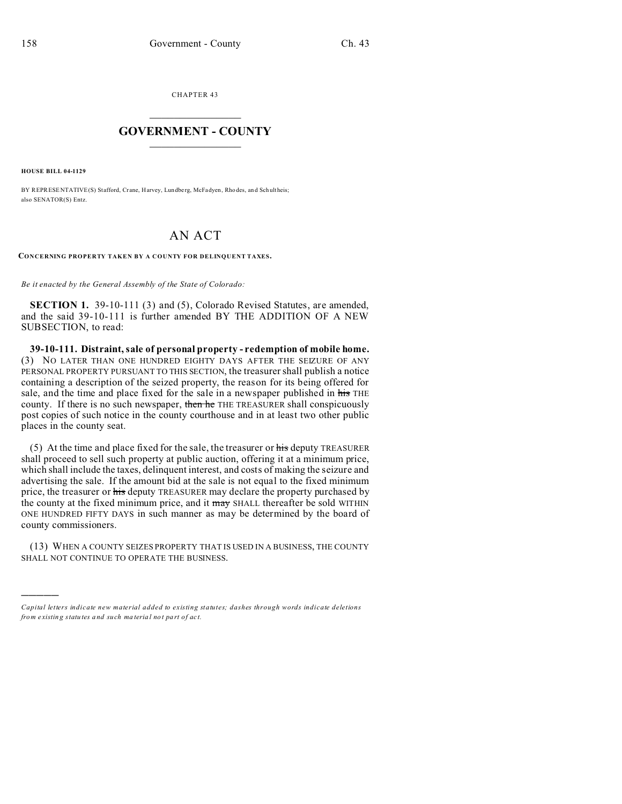CHAPTER 43  $\overline{\phantom{a}}$  , where  $\overline{\phantom{a}}$ 

## **GOVERNMENT - COUNTY**  $\_$

**HOUSE BILL 04-1129**

)))))

BY REPRESENTATIVE(S) Stafford, Crane, Harvey, Lundberg, McFadyen, Rho des, and Schultheis; also SENATOR(S) Entz.

## AN ACT

**CONCERNING PROPERTY TAKEN BY A COUNTY FOR DELINQUENT TAXES.**

*Be it enacted by the General Assembly of the State of Colorado:*

**SECTION 1.** 39-10-111 (3) and (5), Colorado Revised Statutes, are amended, and the said 39-10-111 is further amended BY THE ADDITION OF A NEW SUBSECTION, to read:

**39-10-111. Distraint, sale of personal property - redemption of mobile home.** (3) NO LATER THAN ONE HUNDRED EIGHTY DAYS AFTER THE SEIZURE OF ANY PERSONAL PROPERTY PURSUANT TO THIS SECTION, the treasurer shall publish a notice containing a description of the seized property, the reason for its being offered for sale, and the time and place fixed for the sale in a newspaper published in his THE county. If there is no such newspaper, then he THE TREASURER shall conspicuously post copies of such notice in the county courthouse and in at least two other public places in the county seat.

(5) At the time and place fixed for the sale, the treasurer or his deputy TREASURER shall proceed to sell such property at public auction, offering it at a minimum price, which shall include the taxes, delinquent interest, and costs of making the seizure and advertising the sale. If the amount bid at the sale is not equal to the fixed minimum price, the treasurer or his deputy TREASURER may declare the property purchased by the county at the fixed minimum price, and it may SHALL thereafter be sold WITHIN ONE HUNDRED FIFTY DAYS in such manner as may be determined by the board of county commissioners.

(13) WHEN A COUNTY SEIZES PROPERTY THAT IS USED IN A BUSINESS, THE COUNTY SHALL NOT CONTINUE TO OPERATE THE BUSINESS.

*Capital letters indicate new material added to existing statutes; dashes through words indicate deletions from e xistin g statu tes a nd such ma teria l no t pa rt of ac t.*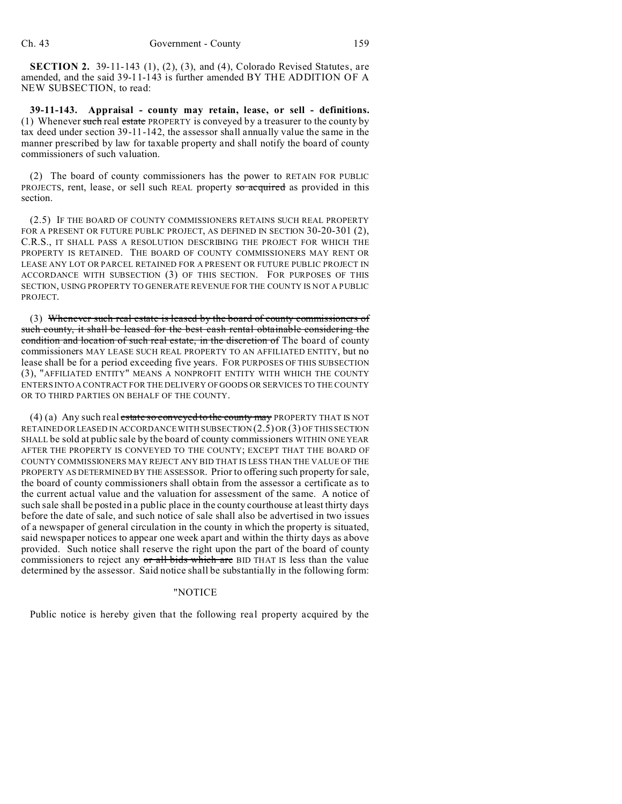**SECTION 2.** 39-11-143 (1), (2), (3), and (4), Colorado Revised Statutes, are amended, and the said 39-11-143 is further amended BY THE ADDITION OF A NEW SUBSECTION, to read:

**39-11-143. Appraisal - county may retain, lease, or sell - definitions.** (1) Whenever such real estate PROPERTY is conveyed by a treasurer to the county by tax deed under section 39-11-142, the assessor shall annually value the same in the manner prescribed by law for taxable property and shall notify the board of county commissioners of such valuation.

(2) The board of county commissioners has the power to RETAIN FOR PUBLIC PROJECTS, rent, lease, or sell such REAL property so acquired as provided in this section.

(2.5) IF THE BOARD OF COUNTY COMMISSIONERS RETAINS SUCH REAL PROPERTY FOR A PRESENT OR FUTURE PUBLIC PROJECT, AS DEFINED IN SECTION 30-20-301 (2), C.R.S., IT SHALL PASS A RESOLUTION DESCRIBING THE PROJECT FOR WHICH THE PROPERTY IS RETAINED. THE BOARD OF COUNTY COMMISSIONERS MAY RENT OR LEASE ANY LOT OR PARCEL RETAINED FOR A PRESENT OR FUTURE PUBLIC PROJECT IN ACCORDANCE WITH SUBSECTION (3) OF THIS SECTION. FOR PURPOSES OF THIS SECTION, USING PROPERTY TO GENERATE REVENUE FOR THE COUNTY IS NOT A PUBLIC PROJECT.

(3) Whenever such real estate is leased by the board of county commissioners of such county, it shall be leased for the best cash rental obtainable considering the condition and location of such real estate, in the discretion of The board of county commissioners MAY LEASE SUCH REAL PROPERTY TO AN AFFILIATED ENTITY, but no lease shall be for a period exceeding five years. FOR PURPOSES OF THIS SUBSECTION (3), "AFFILIATED ENTITY" MEANS A NONPROFIT ENTITY WITH WHICH THE COUNTY ENTERS INTO A CONTRACT FOR THE DELIVERY OF GOODS OR SERVICES TO THE COUNTY OR TO THIRD PARTIES ON BEHALF OF THE COUNTY.

(4) (a) Any such real estate so conveyed to the county may PROPERTY THAT IS NOT RETAINED ORLEASED IN ACCORDANCE WITH SUBSECTION (2.5) OR (3) OF THIS SECTION SHALL be sold at public sale by the board of county commissioners WITHIN ONE YEAR AFTER THE PROPERTY IS CONVEYED TO THE COUNTY; EXCEPT THAT THE BOARD OF COUNTY COMMISSIONERS MAY REJECT ANY BID THAT IS LESS THAN THE VALUE OF THE PROPERTY AS DETERMINED BY THE ASSESSOR. Prior to offering such property for sale, the board of county commissioners shall obtain from the assessor a certificate as to the current actual value and the valuation for assessment of the same. A notice of such sale shall be posted in a public place in the county courthouse at least thirty days before the date of sale, and such notice of sale shall also be advertised in two issues of a newspaper of general circulation in the county in which the property is situated, said newspaper notices to appear one week apart and within the thirty days as above provided. Such notice shall reserve the right upon the part of the board of county commissioners to reject any or all bids which are BID THAT IS less than the value determined by the assessor. Said notice shall be substantially in the following form:

## "NOTICE

Public notice is hereby given that the following real property acquired by the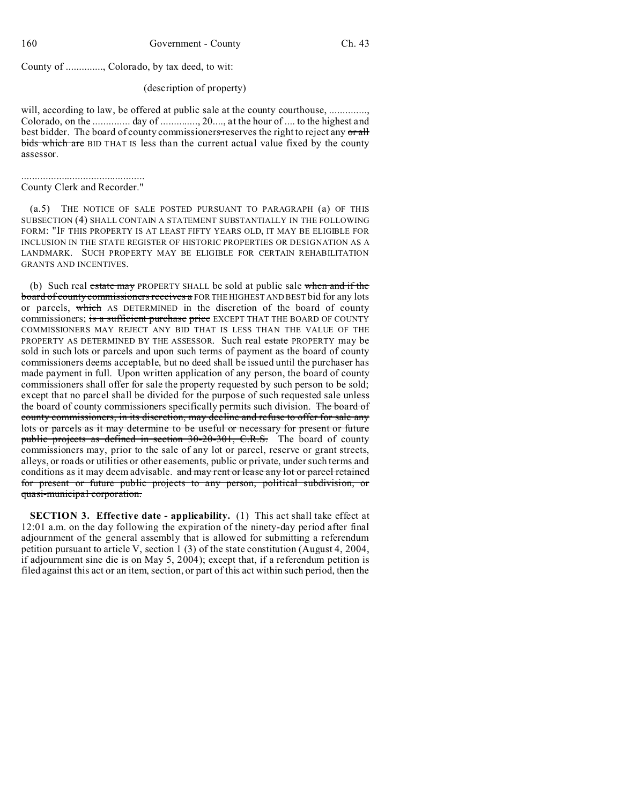County of .............., Colorado, by tax deed, to wit:

## (description of property)

will, according to law, be offered at public sale at the county courthouse, .............. Colorado, on the .............. day of .............., 20...., at the hour of .... to the highest and best bidder. The board of county commissioners reserves the right to reject any or all bids which are BID THAT IS less than the current actual value fixed by the county assessor.

.............................................. County Clerk and Recorder."

(a.5) THE NOTICE OF SALE POSTED PURSUANT TO PARAGRAPH (a) OF THIS SUBSECTION (4) SHALL CONTAIN A STATEMENT SUBSTANTIALLY IN THE FOLLOWING FORM: "IF THIS PROPERTY IS AT LEAST FIFTY YEARS OLD, IT MAY BE ELIGIBLE FOR INCLUSION IN THE STATE REGISTER OF HISTORIC PROPERTIES OR DESIGNATION AS A LANDMARK. SUCH PROPERTY MAY BE ELIGIBLE FOR CERTAIN REHABILITATION GRANTS AND INCENTIVES.

(b) Such real estate may PROPERTY SHALL be sold at public sale when and if the board of county commissioners receives a FOR THE HIGHEST AND BEST bid for any lots or parcels, which AS DETERMINED in the discretion of the board of county commissioners; is a sufficient purchase price EXCEPT THAT THE BOARD OF COUNTY COMMISSIONERS MAY REJECT ANY BID THAT IS LESS THAN THE VALUE OF THE PROPERTY AS DETERMINED BY THE ASSESSOR. Such real estate PROPERTY may be sold in such lots or parcels and upon such terms of payment as the board of county commissioners deems acceptable, but no deed shall be issued until the purchaser has made payment in full. Upon written application of any person, the board of county commissioners shall offer for sale the property requested by such person to be sold; except that no parcel shall be divided for the purpose of such requested sale unless the board of county commissioners specifically permits such division. The board of county commissioners, in its discretion, may decline and refuse to offer for sale any lots or parcels as it may determine to be useful or necessary for present or future public projects as defined in section 30-20-301, C.R.S. The board of county commissioners may, prior to the sale of any lot or parcel, reserve or grant streets, alleys, or roads or utilities or other easements, public or private, under such terms and conditions as it may deem advisable. and may rent or lease any lot or parcel retained for present or future public projects to any person, political subdivision, or quasi-municipal corporation.

**SECTION 3. Effective date - applicability.** (1) This act shall take effect at 12:01 a.m. on the day following the expiration of the ninety-day period after final adjournment of the general assembly that is allowed for submitting a referendum petition pursuant to article V, section 1 (3) of the state constitution (August 4, 2004, if adjournment sine die is on May 5, 2004); except that, if a referendum petition is filed against this act or an item, section, or part of this act within such period, then the